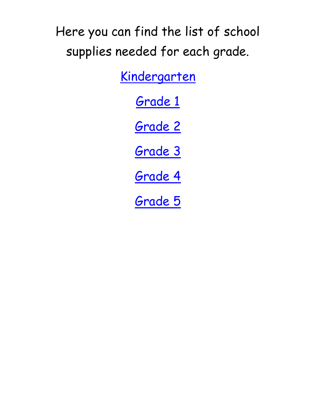Here you can find the list of school supplies needed for each grade.

[Kindergarten](#page-1-0)

[Grade 1](#page-2-0)

[Grade 2](#page-3-0)

[Grade 3](#page-4-0)

[Grade 4](#page-5-0)

[Grade 5](#page-6-0)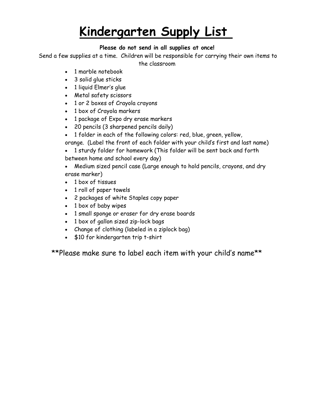## **Kindergarten Supply List**

#### **Please do not send in all supplies at once!**

<span id="page-1-0"></span>Send a few supplies at a time. Children will be responsible for carrying their own items to

the classroom

- 1 marble notebook
- 3 solid glue sticks
- 1 liquid Elmer's glue
- Metal safety scissors
- 1 or 2 boxes of Crayola crayons
- 1 box of Crayola markers
- 1 package of Expo dry erase markers
- 20 pencils (3 sharpened pencils daily)
- 1 folder in each of the following colors: red, blue, green, yellow,
- orange. (Label the front of each folder with your child's first and last name)
- 1 sturdy folder for homework (This folder will be sent back and forth between home and school every day)
- Medium sized pencil case (Large enough to hold pencils, crayons, and dry erase marker)
- 1 box of tissues
- 1 roll of paper towels
- 2 packages of white Staples copy paper
- 1 box of baby wipes
- 1 small sponge or eraser for dry erase boards
- 1 box of gallon sized zip-lock bags
- Change of clothing (labeled in a ziplock bag)
- \$10 for kindergarten trip t-shirt

\*\*Please make sure to label each item with your child's name\*\*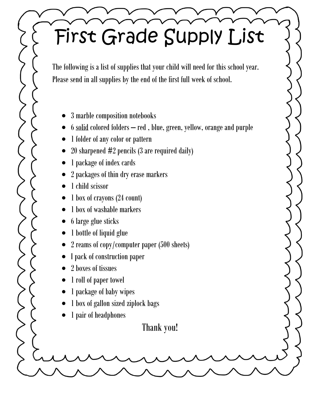# <span id="page-2-0"></span>First Grade Supply List

The following is a list of supplies that your child will need for this school year. Please send in all supplies by the end of the first full week of school.

- 3 marble composition notebooks
- 6 solid colored folders red , blue, green, yellow, orange and purple
- 1 folder of any color or pattern
- 20 sharpened #2 pencils (3 are required daily)
- 1 package of index cards
- 2 packages of thin dry erase markers
- 1 child scissor
- 1 box of crayons (24 count)
- 1 box of washable markers
- 6 large glue sticks
- 1 bottle of liquid glue
- 2 reams of copy/computer paper (500 sheets)
- I pack of construction paper
- 2 boxes of tissues
- 1 roll of paper towel
- 1 package of baby wipes
- 1 box of gallon sized ziplock bags
- 1 pair of headphones

Thank you!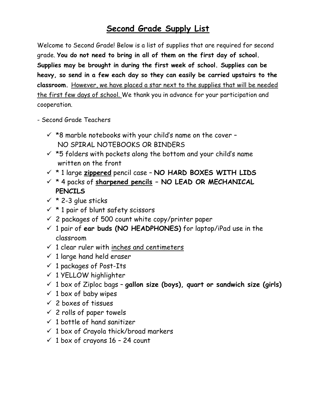## **Second Grade Supply List**

<span id="page-3-0"></span>Welcome to Second Grade! Below is a list of supplies that are required for second grade. **You do not need to bring in all of them on the first day of school. Supplies may be brought in during the first week of school. Supplies can be heavy, so send in a few each day so they can easily be carried upstairs to the classroom.** However, we have placed a star next to the supplies that will be needed the first few days of school. We thank you in advance for your participation and cooperation.

- Second Grade Teachers
	- $\checkmark$  \*8 marble notebooks with your child's name on the cover -NO SPIRAL NOTEBOOKS OR BINDERS
	- $\checkmark$  \*5 folders with pockets along the bottom and your child's name written on the front
	- \* 1 large **zippered** pencil case **NO HARD BOXES WITH LIDS**
	- \* 4 packs of **sharpened pencils – NO LEAD OR MECHANICAL PENCILS**
	- \* 2-3 glue sticks
	- $\times$  \* 1 pair of blunt safety scissors
	- $\checkmark$  2 packages of 500 count white copy/printer paper
	- 1 pair of **ear buds (NO HEADPHONES)** for laptop/iPad use in the classroom
	- $\checkmark$  1 clear ruler with inches and centimeters
	- $\checkmark$  1 large hand held eraser
	- $\checkmark$  1 packages of Post-Its
	- $\times$  1 YELLOW highlighter
	- 1 box of Ziploc bags **gallon size (boys), quart or sandwich size (girls)**
	- $\times$  1 box of baby wipes
	- $\times$  2 boxes of tissues
	- $\times$  2 rolls of paper towels
	- $\checkmark$  1 bottle of hand sanitizer
	- $\checkmark$  1 box of Crayola thick/broad markers
	- $\checkmark$  1 box of crayons 16 24 count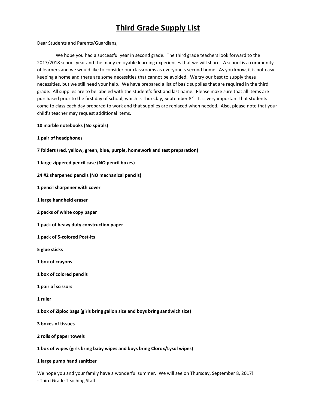## **Third Grade Supply List**

<span id="page-4-0"></span>Dear Students and Parents/Guardians,

We hope you had a successful year in second grade. The third grade teachers look forward to the 2017/2018 school year and the many enjoyable learning experiences that we will share. A school is a community of learners and we would like to consider our classrooms as everyone's second home. As you know, it is not easy keeping a home and there are some necessities that cannot be avoided. We try our best to supply these necessities, but we still need your help. We have prepared a list of basic supplies that are required in the third grade. All supplies are to be labeled with the student's first and last name. Please make sure that all items are purchased prior to the first day of school, which is Thursday, September  $8^{th}$ . It is very important that students come to class each day prepared to work and that supplies are replaced when needed. Also, please note that your child's teacher may request additional items.

#### **10 marble notebooks (No spirals)**

- **1 pair of headphones**
- **7 folders (red, yellow, green, blue, purple, homework and test preparation)**
- **1 large zippered pencil case (NO pencil boxes)**
- **24 #2 sharpened pencils (NO mechanical pencils)**
- **1 pencil sharpener with cover**
- **1 large handheld eraser**
- **2 packs of white copy paper**
- **1 pack of heavy duty construction paper**
- **1 pack of 5-colored Post-its**
- **5 glue sticks**
- **1 box of crayons**
- **1 box of colored pencils**
- **1 pair of scissors**
- **1 ruler**
- **1 box of Ziploc bags (girls bring gallon size and boys bring sandwich size)**
- **3 boxes of tissues**
- **2 rolls of paper towels**
- **1 box of wipes (girls bring baby wipes and boys bring Clorox/Lysol wipes)**

#### **1 large pump hand sanitizer**

We hope you and your family have a wonderful summer. We will see on Thursday, September 8, 2017! - Third Grade Teaching Staff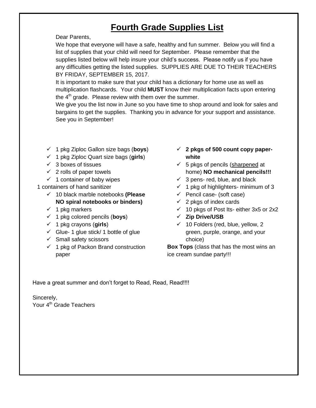## **Fourth Grade Supplies List**

<span id="page-5-0"></span>Dear Parents,

We hope that everyone will have a safe, healthy and fun summer. Below you will find a list of supplies that your child will need for September. Please remember that the supplies listed below will help insure your child's success. Please notify us if you have any difficulties getting the listed supplies. SUPPLIES ARE DUE TO THEIR TEACHERS BY FRIDAY, SEPTEMBER 15, 2017.

It is important to make sure that your child has a dictionary for home use as well as multiplication flashcards. Your child **MUST** know their multiplication facts upon entering the  $4<sup>th</sup>$  grade. Please review with them over the summer.

We give you the list now in June so you have time to shop around and look for sales and bargains to get the supplies. Thanking you in advance for your support and assistance. See you in September!

- 1 pkg Ziploc Gallon size bags (**boys**)
- 1 pkg Ziploc Quart size bags (**girls**)
- $\checkmark$  3 boxes of tissues
- $\checkmark$  2 rolls of paper towels
- $\checkmark$  1 container of baby wipes

1 containers of hand sanitizer

- 10 black marble notebooks **(Please NO spiral notebooks or binders)**
- $\checkmark$  1 pkg markers
- 1 pkg colored pencils (**boys**)
- $\checkmark$  1 pkg crayons (girls)
- $\checkmark$  Glue- 1 glue stick/ 1 bottle of glue
- $\checkmark$  Small safety scissors
- $\checkmark$  1 pkg of Packon Brand construction paper
- **2 pkgs of 500 count copy paperwhite**
- $\checkmark$  5 pkgs of pencils (sharpened at home) **NO mechanical pencils!!!**
- $\checkmark$  3 pens- red, blue, and black
- $\checkmark$  1 pkg of highlighters- minimum of 3
- $\checkmark$  Pencil case- (soft case)
- $\checkmark$  2 pkgs of index cards
- $\checkmark$  10 pkgs of Post Its- either 3x5 or 2x2
- **Zip Drive/USB**
- $\checkmark$  10 Folders (red, blue, yellow, 2 green, purple, orange, and your choice)

**Box Tops** (class that has the most wins an ice cream sundae party!!!

Have a great summer and don't forget to Read, Read, Read!!!!

Sincerely, Your 4<sup>th</sup> Grade Teachers